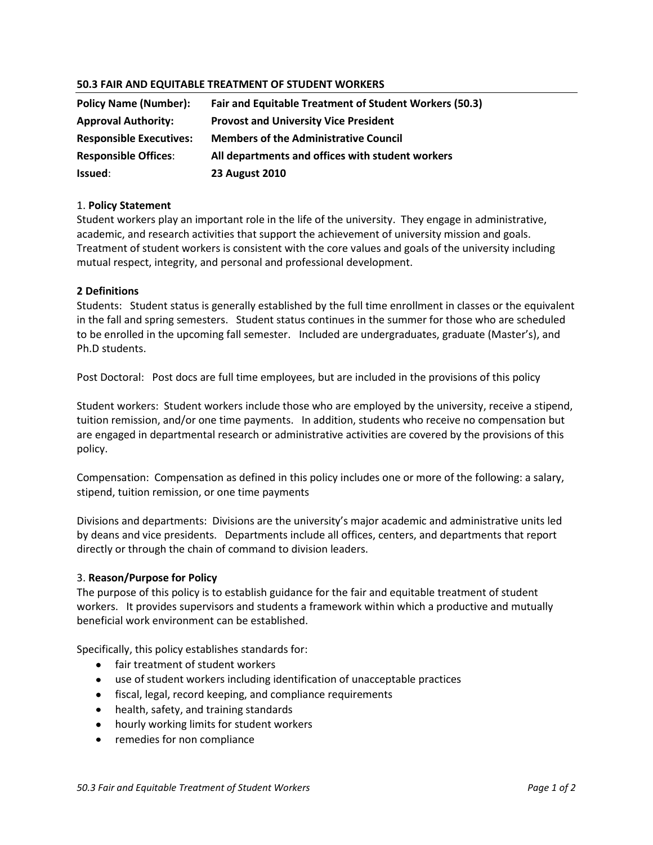## **50.3 FAIR AND EQUITABLE TREATMENT OF STUDENT WORKERS**

| <b>Policy Name (Number):</b>   | Fair and Equitable Treatment of Student Workers (50.3) |
|--------------------------------|--------------------------------------------------------|
| <b>Approval Authority:</b>     | <b>Provost and University Vice President</b>           |
| <b>Responsible Executives:</b> | <b>Members of the Administrative Council</b>           |
| <b>Responsible Offices:</b>    | All departments and offices with student workers       |
| <b>Issued:</b>                 | <b>23 August 2010</b>                                  |

### 1. **Policy Statement**

Student workers play an important role in the life of the university. They engage in administrative, academic, and research activities that support the achievement of university mission and goals. Treatment of student workers is consistent with the core values and goals of the university including mutual respect, integrity, and personal and professional development.

### **2 Definitions**

Students: Student status is generally established by the full time enrollment in classes or the equivalent in the fall and spring semesters. Student status continues in the summer for those who are scheduled to be enrolled in the upcoming fall semester. Included are undergraduates, graduate (Master's), and Ph.D students.

Post Doctoral: Post docs are full time employees, but are included in the provisions of this policy

Student workers: Student workers include those who are employed by the university, receive a stipend, tuition remission, and/or one time payments. In addition, students who receive no compensation but are engaged in departmental research or administrative activities are covered by the provisions of this policy.

Compensation: Compensation as defined in this policy includes one or more of the following: a salary, stipend, tuition remission, or one time payments

Divisions and departments: Divisions are the university's major academic and administrative units led by deans and vice presidents. Departments include all offices, centers, and departments that report directly or through the chain of command to division leaders.

#### 3. **Reason/Purpose for Policy**

The purpose of this policy is to establish guidance for the fair and equitable treatment of student workers. It provides supervisors and students a framework within which a productive and mutually beneficial work environment can be established.

Specifically, this policy establishes standards for:

- fair treatment of student workers
- use of student workers including identification of unacceptable practices
- fiscal, legal, record keeping, and compliance requirements
- health, safety, and training standards
- hourly working limits for student workers
- remedies for non compliance